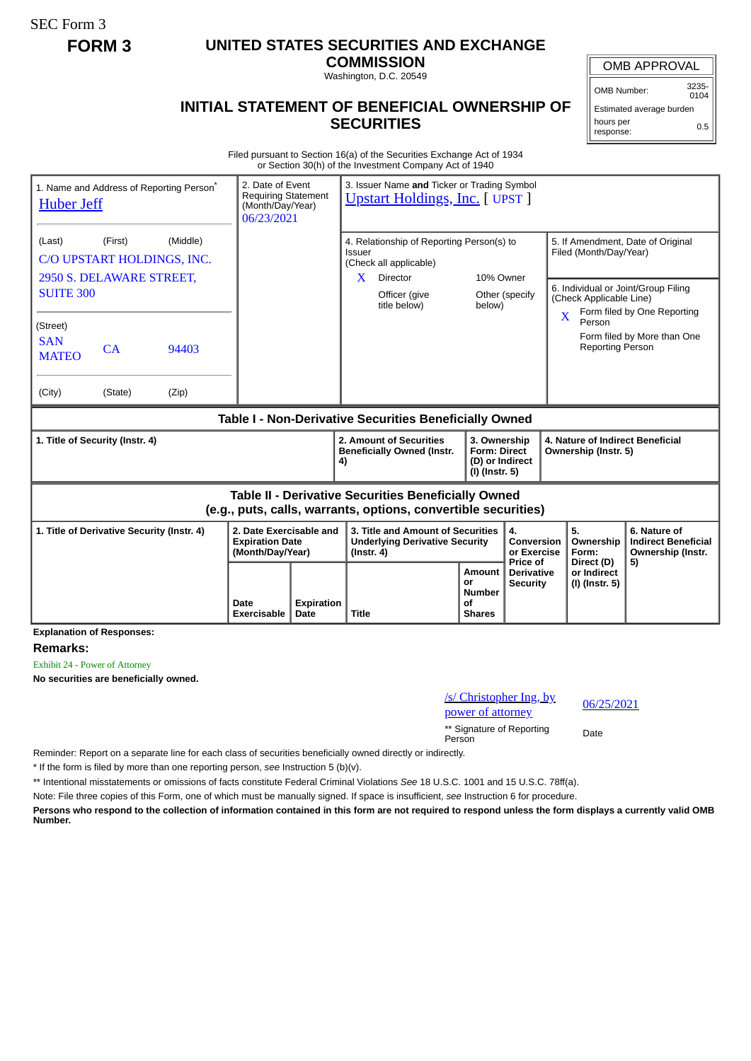SEC Form 3

## **FORM 3 UNITED STATES SECURITIES AND EXCHANGE**

**COMMISSION** Washington, D.C. 20549

## **INITIAL STATEMENT OF BENEFICIAL OWNERSHIP OF SECURITIES**

OMB APPROVAL

OMB Number: 3235-  $0104$ 

Estimated average burden hours per response: 0.5

Filed pursuant to Section 16(a) of the Securities Exchange Act of 1934 or Section 30(h) of the Investment Company Act of 1940

| 1. Name and Address of Reporting Person <sup>®</sup><br><b>Huber Jeff</b>                                                    | 2. Date of Event<br><b>Requiring Statement</b><br>(Month/Day/Year)<br>06/23/2021 |                    | 3. Issuer Name and Ticker or Trading Symbol<br><b>Upstart Holdings, Inc.</b> [ UPST ]                       |                                                             |                                                                          |                                                                                                    |                                                                 |  |
|------------------------------------------------------------------------------------------------------------------------------|----------------------------------------------------------------------------------|--------------------|-------------------------------------------------------------------------------------------------------------|-------------------------------------------------------------|--------------------------------------------------------------------------|----------------------------------------------------------------------------------------------------|-----------------------------------------------------------------|--|
| (First)<br>(Middle)<br>(Last)<br>C/O UPSTART HOLDINGS, INC.<br>2950 S. DELAWARE STREET,                                      |                                                                                  |                    | 4. Relationship of Reporting Person(s) to<br>Issuer<br>(Check all applicable)<br>Director<br>10% Owner<br>X |                                                             |                                                                          | 5. If Amendment, Date of Original<br>Filed (Month/Day/Year)                                        |                                                                 |  |
| <b>SUITE 300</b>                                                                                                             |                                                                                  |                    | Officer (give<br>title below)                                                                               | below)                                                      | Other (specify                                                           | 6. Individual or Joint/Group Filing<br>(Check Applicable Line)<br>Form filed by One Reporting<br>X |                                                                 |  |
| (Street)<br><b>SAN</b><br>CA<br>94403<br><b>MATEO</b>                                                                        |                                                                                  |                    |                                                                                                             |                                                             |                                                                          | Person<br><b>Reporting Person</b>                                                                  | Form filed by More than One                                     |  |
| (City)<br>(State)<br>(Zip)                                                                                                   |                                                                                  |                    |                                                                                                             |                                                             |                                                                          |                                                                                                    |                                                                 |  |
| Table I - Non-Derivative Securities Beneficially Owned                                                                       |                                                                                  |                    |                                                                                                             |                                                             |                                                                          |                                                                                                    |                                                                 |  |
| 1. Title of Security (Instr. 4)                                                                                              |                                                                                  |                    | 2. Amount of Securities<br><b>Beneficially Owned (Instr.</b><br>4)                                          |                                                             | 3. Ownership<br><b>Form: Direct</b><br>(D) or Indirect<br>(I) (Instr. 5) |                                                                                                    | 4. Nature of Indirect Beneficial<br>Ownership (Instr. 5)        |  |
| <b>Table II - Derivative Securities Beneficially Owned</b><br>(e.g., puts, calls, warrants, options, convertible securities) |                                                                                  |                    |                                                                                                             |                                                             |                                                                          |                                                                                                    |                                                                 |  |
| 2. Date Exercisable and<br>1. Title of Derivative Security (Instr. 4)<br><b>Expiration Date</b><br>(Month/Day/Year)          |                                                                                  |                    | 3. Title and Amount of Securities<br><b>Underlying Derivative Security</b><br>$($ lnstr. 4 $)$              |                                                             | 4.<br>Conversion<br>or Exercise                                          | 5.<br>Ownership<br>Form:                                                                           | 6. Nature of<br><b>Indirect Beneficial</b><br>Ownership (Instr. |  |
| <b>Explanation of Responses:</b>                                                                                             | Date<br>Exercisable                                                              | Expiration<br>Date | <b>Title</b>                                                                                                | <b>Amount</b><br>or<br><b>Number</b><br>Οf<br><b>Shares</b> | Price of<br><b>Derivative</b><br><b>Security</b>                         | Direct (D)<br>or Indirect<br>(I) (Instr. 5)                                                        | 5)                                                              |  |

**Remarks:**

Exhibit 24 - Power of Attorney

**No securities are beneficially owned.**

/s/ Christopher Ing, by  $\frac{p_0}{p_0}$  bower of attorney  $\frac{06}{25/2021}$ 

\*\* Signature of Reporting Person Date

Reminder: Report on a separate line for each class of securities beneficially owned directly or indirectly.

\* If the form is filed by more than one reporting person, *see* Instruction 5 (b)(v).

\*\* Intentional misstatements or omissions of facts constitute Federal Criminal Violations *See* 18 U.S.C. 1001 and 15 U.S.C. 78ff(a).

Note: File three copies of this Form, one of which must be manually signed. If space is insufficient, *see* Instruction 6 for procedure.

**Persons who respond to the collection of information contained in this form are not required to respond unless the form displays a currently valid OMB Number.**